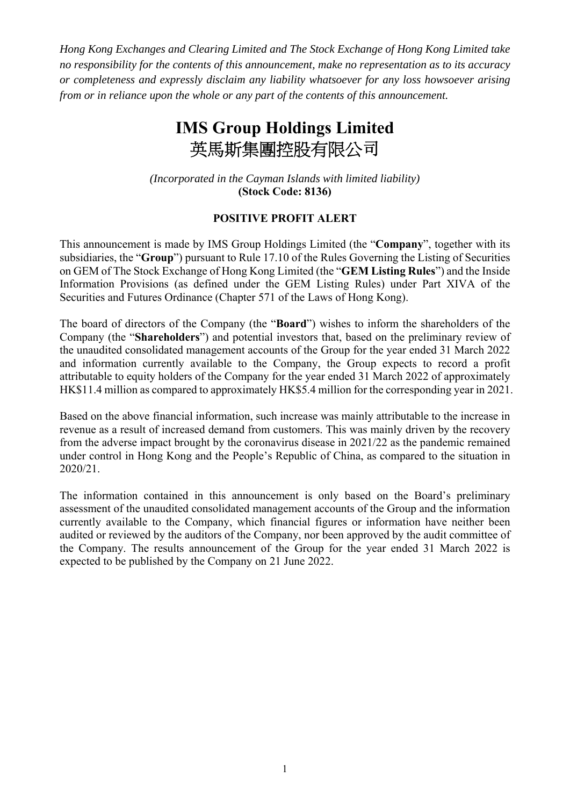*Hong Kong Exchanges and Clearing Limited and The Stock Exchange of Hong Kong Limited take no responsibility for the contents of this announcement, make no representation as to its accuracy or completeness and expressly disclaim any liability whatsoever for any loss howsoever arising from or in reliance upon the whole or any part of the contents of this announcement.* 

## **IMS Group Holdings Limited**  英馬斯集團控股有限公司

*(Incorporated in the Cayman Islands with limited liability)*  **(Stock Code: 8136)**

## **POSITIVE PROFIT ALERT**

This announcement is made by IMS Group Holdings Limited (the "**Company**", together with its subsidiaries, the "**Group**") pursuant to Rule 17.10 of the Rules Governing the Listing of Securities on GEM of The Stock Exchange of Hong Kong Limited (the "**GEM Listing Rules**") and the Inside Information Provisions (as defined under the GEM Listing Rules) under Part XIVA of the Securities and Futures Ordinance (Chapter 571 of the Laws of Hong Kong).

The board of directors of the Company (the "**Board**") wishes to inform the shareholders of the Company (the "**Shareholders**") and potential investors that, based on the preliminary review of the unaudited consolidated management accounts of the Group for the year ended 31 March 2022 and information currently available to the Company, the Group expects to record a profit attributable to equity holders of the Company for the year ended 31 March 2022 of approximately HK\$11.4 million as compared to approximately HK\$5.4 million for the corresponding year in 2021.

Based on the above financial information, such increase was mainly attributable to the increase in revenue as a result of increased demand from customers. This was mainly driven by the recovery from the adverse impact brought by the coronavirus disease in 2021/22 as the pandemic remained under control in Hong Kong and the People's Republic of China, as compared to the situation in 2020/21.

The information contained in this announcement is only based on the Board's preliminary assessment of the unaudited consolidated management accounts of the Group and the information currently available to the Company, which financial figures or information have neither been audited or reviewed by the auditors of the Company, nor been approved by the audit committee of the Company. The results announcement of the Group for the year ended 31 March 2022 is expected to be published by the Company on 21 June 2022.